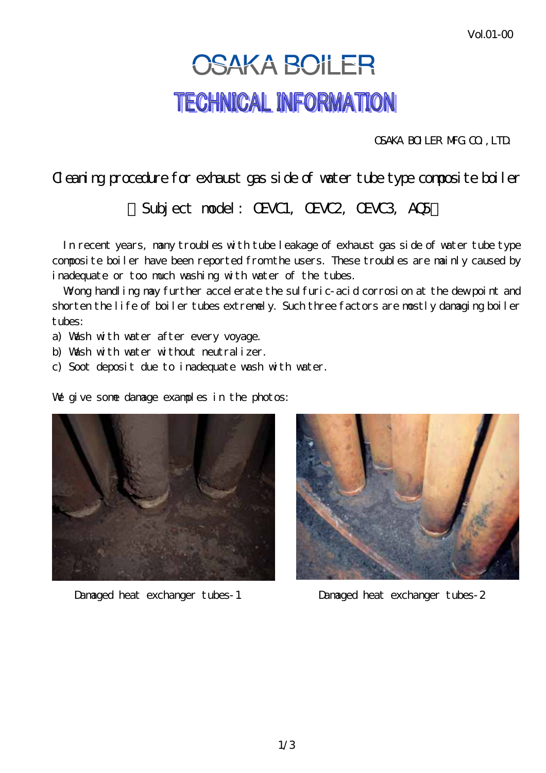## **OSAKA BOILER TECHNICAL INFORMATION**

OSAKA BOILER MFG.CO.,LTD.

## Cleaning procedure for exhaust gas side of water tube type composite boiler

Subject nodel: CEVC1, CEVC2, CEVC3, AC5

 In recent years, many troubles with tube leakage of exhaust gas side of water tube type composite boiler have been reported from the users. These troubles are mainly caused by inadequate or too much washing with water of the tubes.

Wong handling may further accelerate the sulfuric-acid corrosion at the dew point and shorten the life of boiler tubes extremely. Such three factors are mostly damaging boiler tubes:

- a) Wash with water after every voyage.
- b) Wash with water without neutralizer.
- c) Soot deposit due to inadequate wash with water.

We give some damage examples in the photos:



Damaged heat exchanger tubes-1 Damaged heat exchanger tubes-2

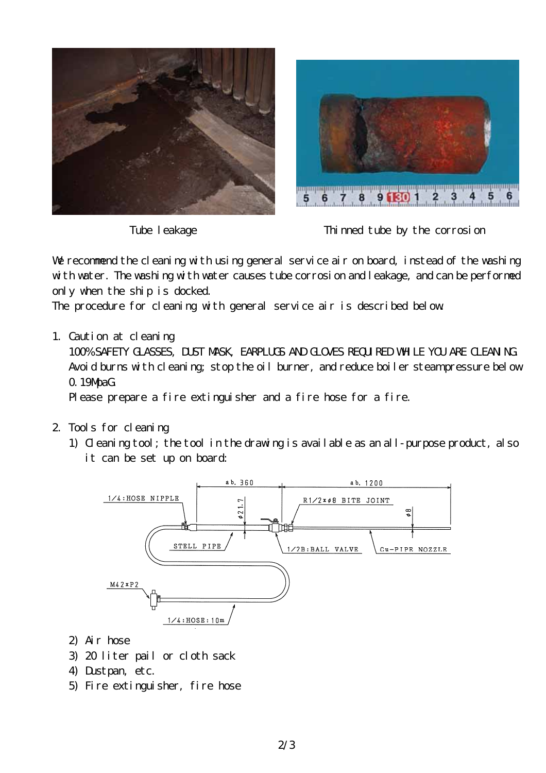



Tube leakage Thinned tube by the corrosion

We recommend the cleaning with using general service air on board, instead of the washing with water. The washing with water causes tube corrosion and leakage, and can be performed only when the ship is docked.

The procedure for cleaning with general service air is described below.

1. Caution at cleaning

100% SAFETY GLASSES, DUST MASK, EARPLUGS AND GLOVES REQUIRED WHILE YOU ARE CLEANING. Avoid burns with cleaning; stop the oil burner, and reduce boiler steam pressure below 0.19MpaG.

Please prepare a fire extinguisher and a fire hose for a fire.

- 2. Tools for cleaning
	- 1) Cleaning tool; the tool in the drawing is available as an all-purpose product, also it can be set up on board:



- 2) Air hose
- 3) 20 liter pail or cloth sack
- 4) Dustpan, etc.
- 5) Fire extinguisher, fire hose